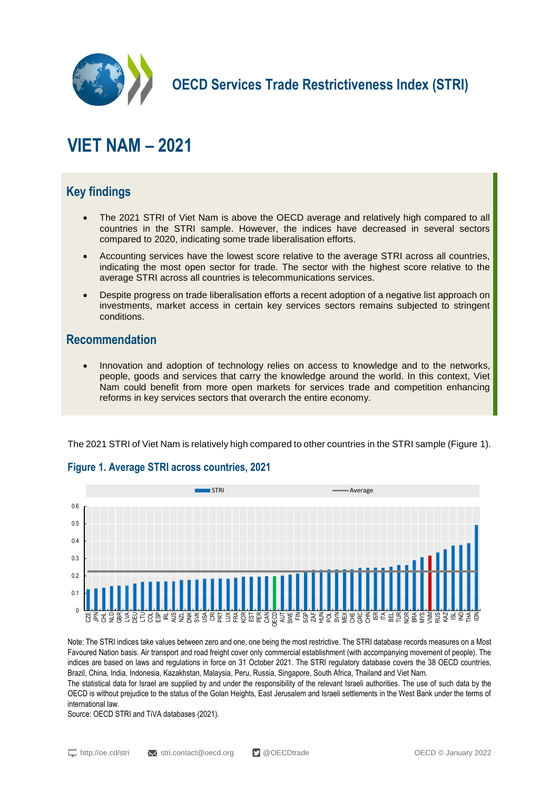

**OECD Services Trade Restrictiveness Index (STRI)**

# **VIET NAM – 2021**

# **Key findings**

- The 2021 STRI of Viet Nam is above the OECD average and relatively high compared to all countries in the STRI sample. However, the indices have decreased in several sectors compared to 2020, indicating some trade liberalisation efforts.
- Accounting services have the lowest score relative to the average STRI across all countries, indicating the most open sector for trade. The sector with the highest score relative to the average STRI across all countries is telecommunications services.
- Despite progress on trade liberalisation efforts a recent adoption of a negative list approach on investments, market access in certain key services sectors remains subjected to stringent conditions.

### **Recommendation**

 Innovation and adoption of technology relies on access to knowledge and to the networks, people, goods and services that carry the knowledge around the world. In this context, Viet Nam could benefit from more open markets for services trade and competition enhancing reforms in key services sectors that overarch the entire economy.

The 2021 STRI of Viet Nam is relatively high compared to other countries in the STRI sample (Figure 1).



#### **Figure 1. Average STRI across countries, 2021**

Note: The STRI indices take values between zero and one, one being the most restrictive. The STRI database records measures on a Most Favoured Nation basis. Air transport and road freight cover only commercial establishment (with accompanying movement of people). The indices are based on laws and regulations in force on 31 October 2021. The STRI regulatory database covers the 38 OECD countries, Brazil, China, India, Indonesia, Kazakhstan, Malaysia, Peru, Russia, Singapore, South Africa, Thailand and Viet Nam.

The statistical data for Israel are supplied by and under the responsibility of the relevant Israeli authorities. The use of such data by the OECD is without prejudice to the status of the Golan Heights, East Jerusalem and Israeli settlements in the West Bank under the terms of international law.

Source: OECD STRI and TiVA databases (2021).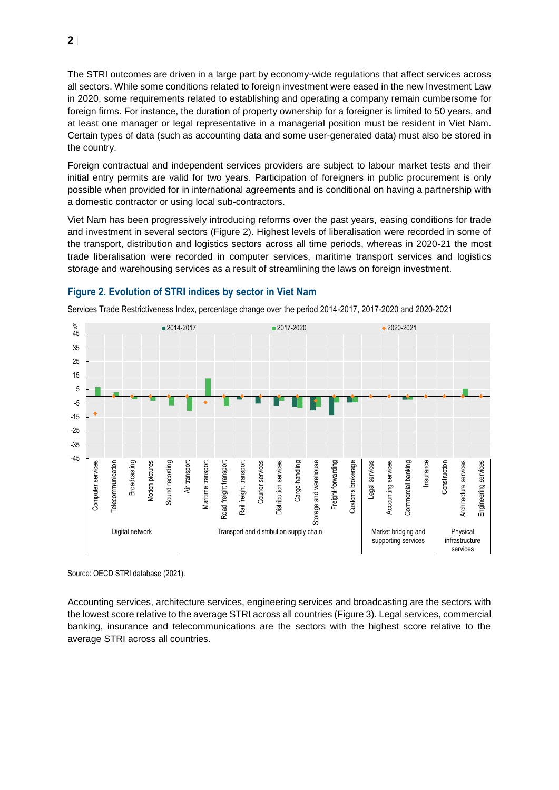The STRI outcomes are driven in a large part by economy-wide regulations that affect services across all sectors. While some conditions related to foreign investment were eased in the new Investment Law in 2020, some requirements related to establishing and operating a company remain cumbersome for foreign firms. For instance, the duration of property ownership for a foreigner is limited to 50 years, and at least one manager or legal representative in a managerial position must be resident in Viet Nam. Certain types of data (such as accounting data and some user-generated data) must also be stored in the country.

Foreign contractual and independent services providers are subject to labour market tests and their initial entry permits are valid for two years. Participation of foreigners in public procurement is only possible when provided for in international agreements and is conditional on having a partnership with a domestic contractor or using local sub-contractors.

Viet Nam has been progressively introducing reforms over the past years, easing conditions for trade and investment in several sectors (Figure 2). Highest levels of liberalisation were recorded in some of the transport, distribution and logistics sectors across all time periods, whereas in 2020-21 the most trade liberalisation were recorded in computer services, maritime transport services and logistics storage and warehousing services as a result of streamlining the laws on foreign investment.



**Figure 2. Evolution of STRI indices by sector in Viet Nam**

Services Trade Restrictiveness Index, percentage change over the period 2014-2017, 2017-2020 and 2020-2021

Source: OECD STRI database (2021).

Accounting services, architecture services, engineering services and broadcasting are the sectors with the lowest score relative to the average STRI across all countries (Figure 3). Legal services, commercial banking, insurance and telecommunications are the sectors with the highest score relative to the average STRI across all countries.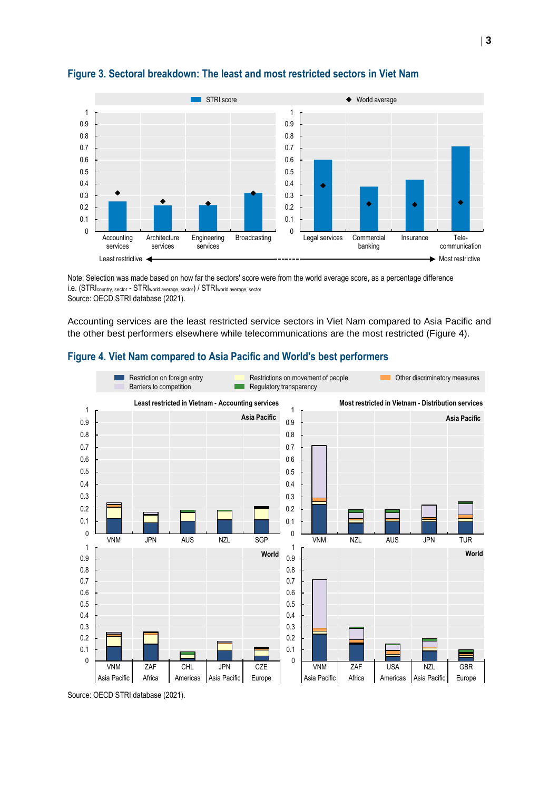

#### **Figure 3. Sectoral breakdown: The least and most restricted sectors in Viet Nam**

Note: Selection was made based on how far the sectors' score were from the world average score, as a percentage difference i.e. (STRIcountry, sector - STRIworld average, sector) / STRIworld average, sector Source: OECD STRI database (2021).

Accounting services are the least restricted service sectors in Viet Nam compared to Asia Pacific and the other best performers elsewhere while telecommunications are the most restricted (Figure 4).

#### **Figure 4. Viet Nam compared to Asia Pacific and World's best performers**



Source: OECD STRI database (2021).